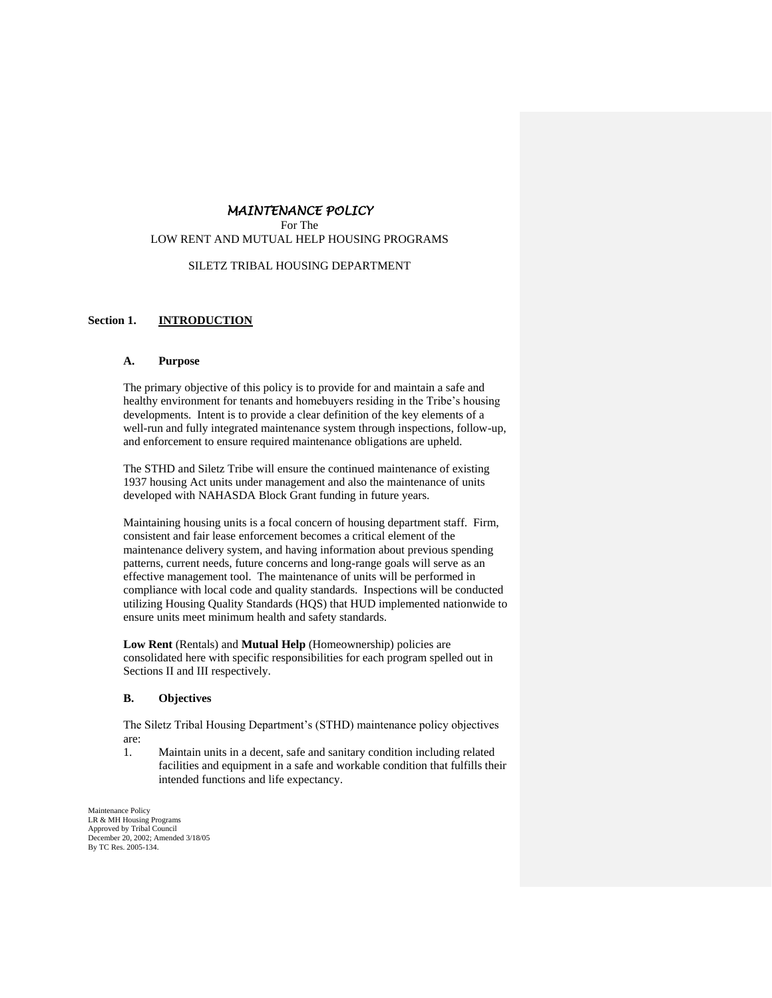# *MAINTENANCE POLICY*

For The LOW RENT AND MUTUAL HELP HOUSING PROGRAMS

### SILETZ TRIBAL HOUSING DEPARTMENT

# **Section 1. INTRODUCTION**

#### **A. Purpose**

The primary objective of this policy is to provide for and maintain a safe and healthy environment for tenants and homebuyers residing in the Tribe's housing developments. Intent is to provide a clear definition of the key elements of a well-run and fully integrated maintenance system through inspections, follow-up, and enforcement to ensure required maintenance obligations are upheld.

The STHD and Siletz Tribe will ensure the continued maintenance of existing 1937 housing Act units under management and also the maintenance of units developed with NAHASDA Block Grant funding in future years.

Maintaining housing units is a focal concern of housing department staff. Firm, consistent and fair lease enforcement becomes a critical element of the maintenance delivery system, and having information about previous spending patterns, current needs, future concerns and long-range goals will serve as an effective management tool. The maintenance of units will be performed in compliance with local code and quality standards. Inspections will be conducted utilizing Housing Quality Standards (HQS) that HUD implemented nationwide to ensure units meet minimum health and safety standards.

**Low Rent** (Rentals) and **Mutual Help** (Homeownership) policies are consolidated here with specific responsibilities for each program spelled out in Sections II and III respectively.

#### **B. Objectives**

The Siletz Tribal Housing Department's (STHD) maintenance policy objectives are:

1. Maintain units in a decent, safe and sanitary condition including related facilities and equipment in a safe and workable condition that fulfills their intended functions and life expectancy.

Maintenance Policy LR & MH Housing Programs Approved by Tribal Council December 20, 2002; Amended 3/18/05 By TC Res. 2005-134.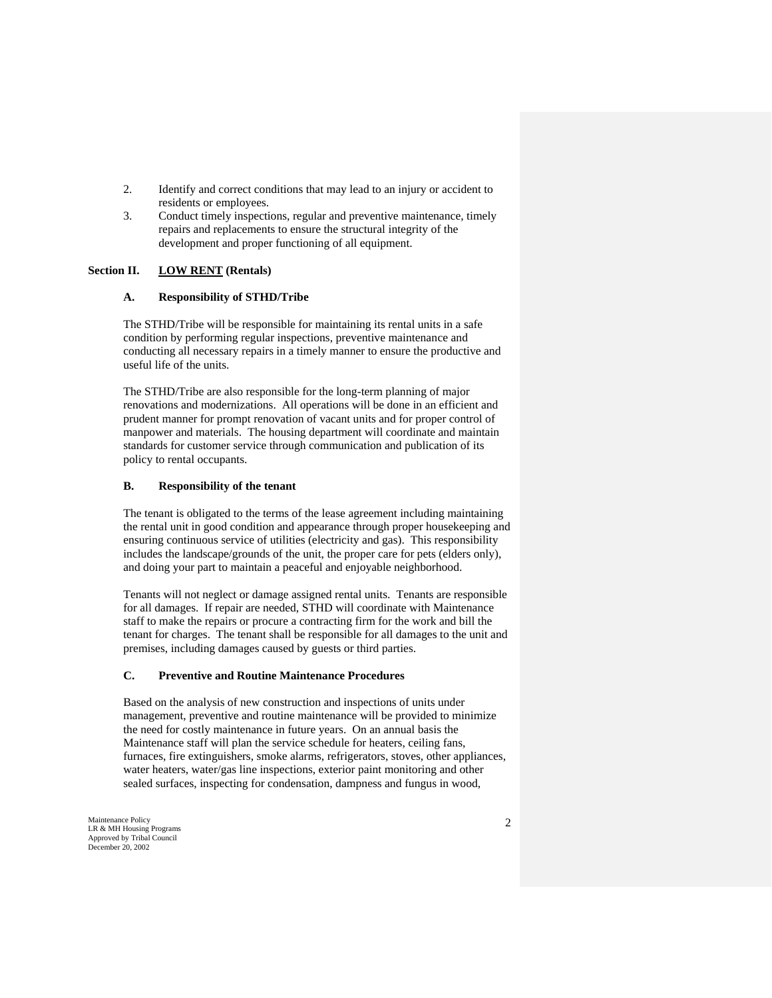- 2. Identify and correct conditions that may lead to an injury or accident to residents or employees.
- 3. Conduct timely inspections, regular and preventive maintenance, timely repairs and replacements to ensure the structural integrity of the development and proper functioning of all equipment.

# **Section II. LOW RENT (Rentals)**

#### **A. Responsibility of STHD/Tribe**

The STHD/Tribe will be responsible for maintaining its rental units in a safe condition by performing regular inspections, preventive maintenance and conducting all necessary repairs in a timely manner to ensure the productive and useful life of the units.

The STHD/Tribe are also responsible for the long-term planning of major renovations and modernizations. All operations will be done in an efficient and prudent manner for prompt renovation of vacant units and for proper control of manpower and materials. The housing department will coordinate and maintain standards for customer service through communication and publication of its policy to rental occupants.

### **B. Responsibility of the tenant**

The tenant is obligated to the terms of the lease agreement including maintaining the rental unit in good condition and appearance through proper housekeeping and ensuring continuous service of utilities (electricity and gas). This responsibility includes the landscape/grounds of the unit, the proper care for pets (elders only), and doing your part to maintain a peaceful and enjoyable neighborhood.

Tenants will not neglect or damage assigned rental units. Tenants are responsible for all damages. If repair are needed, STHD will coordinate with Maintenance staff to make the repairs or procure a contracting firm for the work and bill the tenant for charges. The tenant shall be responsible for all damages to the unit and premises, including damages caused by guests or third parties.

#### **C. Preventive and Routine Maintenance Procedures**

Based on the analysis of new construction and inspections of units under management, preventive and routine maintenance will be provided to minimize the need for costly maintenance in future years. On an annual basis the Maintenance staff will plan the service schedule for heaters, ceiling fans, furnaces, fire extinguishers, smoke alarms, refrigerators, stoves, other appliances, water heaters, water/gas line inspections, exterior paint monitoring and other sealed surfaces, inspecting for condensation, dampness and fungus in wood,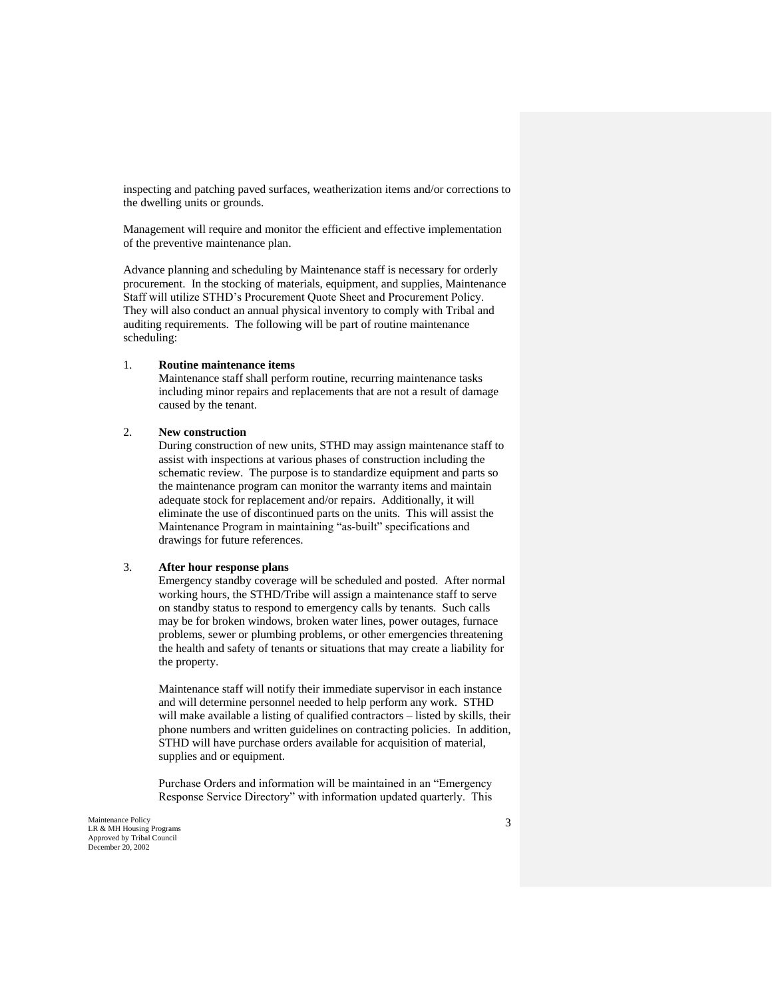inspecting and patching paved surfaces, weatherization items and/or corrections to the dwelling units or grounds.

Management will require and monitor the efficient and effective implementation of the preventive maintenance plan.

Advance planning and scheduling by Maintenance staff is necessary for orderly procurement. In the stocking of materials, equipment, and supplies, Maintenance Staff will utilize STHD's Procurement Quote Sheet and Procurement Policy. They will also conduct an annual physical inventory to comply with Tribal and auditing requirements. The following will be part of routine maintenance scheduling:

#### 1. **Routine maintenance items**

Maintenance staff shall perform routine, recurring maintenance tasks including minor repairs and replacements that are not a result of damage caused by the tenant.

### 2. **New construction**

During construction of new units, STHD may assign maintenance staff to assist with inspections at various phases of construction including the schematic review. The purpose is to standardize equipment and parts so the maintenance program can monitor the warranty items and maintain adequate stock for replacement and/or repairs. Additionally, it will eliminate the use of discontinued parts on the units. This will assist the Maintenance Program in maintaining "as-built" specifications and drawings for future references.

#### 3. **After hour response plans**

Emergency standby coverage will be scheduled and posted. After normal working hours, the STHD/Tribe will assign a maintenance staff to serve on standby status to respond to emergency calls by tenants. Such calls may be for broken windows, broken water lines, power outages, furnace problems, sewer or plumbing problems, or other emergencies threatening the health and safety of tenants or situations that may create a liability for the property.

Maintenance staff will notify their immediate supervisor in each instance and will determine personnel needed to help perform any work. STHD will make available a listing of qualified contractors – listed by skills, their phone numbers and written guidelines on contracting policies. In addition, STHD will have purchase orders available for acquisition of material, supplies and or equipment.

Purchase Orders and information will be maintained in an "Emergency Response Service Directory" with information updated quarterly. This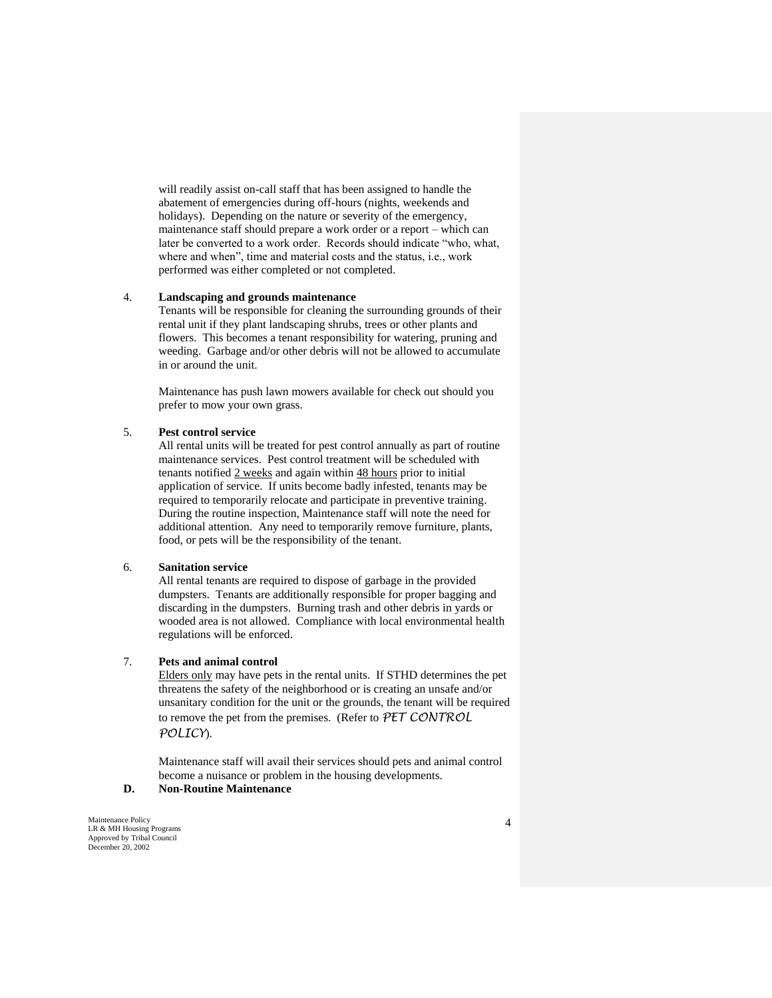will readily assist on-call staff that has been assigned to handle the abatement of emergencies during off-hours (nights, weekends and holidays). Depending on the nature or severity of the emergency, maintenance staff should prepare a work order or a report – which can later be converted to a work order. Records should indicate "who, what, where and when", time and material costs and the status, i.e., work performed was either completed or not completed.

# 4. **Landscaping and grounds maintenance**

Tenants will be responsible for cleaning the surrounding grounds of their rental unit if they plant landscaping shrubs, trees or other plants and flowers. This becomes a tenant responsibility for watering, pruning and weeding. Garbage and/or other debris will not be allowed to accumulate in or around the unit.

Maintenance has push lawn mowers available for check out should you prefer to mow your own grass.

### 5. **Pest control service**

All rental units will be treated for pest control annually as part of routine maintenance services. Pest control treatment will be scheduled with tenants notified 2 weeks and again within 48 hours prior to initial application of service. If units become badly infested, tenants may be required to temporarily relocate and participate in preventive training. During the routine inspection, Maintenance staff will note the need for additional attention. Any need to temporarily remove furniture, plants, food, or pets will be the responsibility of the tenant.

#### 6. **Sanitation service**

All rental tenants are required to dispose of garbage in the provided dumpsters. Tenants are additionally responsible for proper bagging and discarding in the dumpsters. Burning trash and other debris in yards or wooded area is not allowed. Compliance with local environmental health regulations will be enforced.

### 7. **Pets and animal control**

Elders only may have pets in the rental units. If STHD determines the pet threatens the safety of the neighborhood or is creating an unsafe and/or unsanitary condition for the unit or the grounds, the tenant will be required to remove the pet from the premises. (Refer to *PET CONTROL POLICY*).

Maintenance staff will avail their services should pets and animal control become a nuisance or problem in the housing developments.

# **D. Non-Routine Maintenance**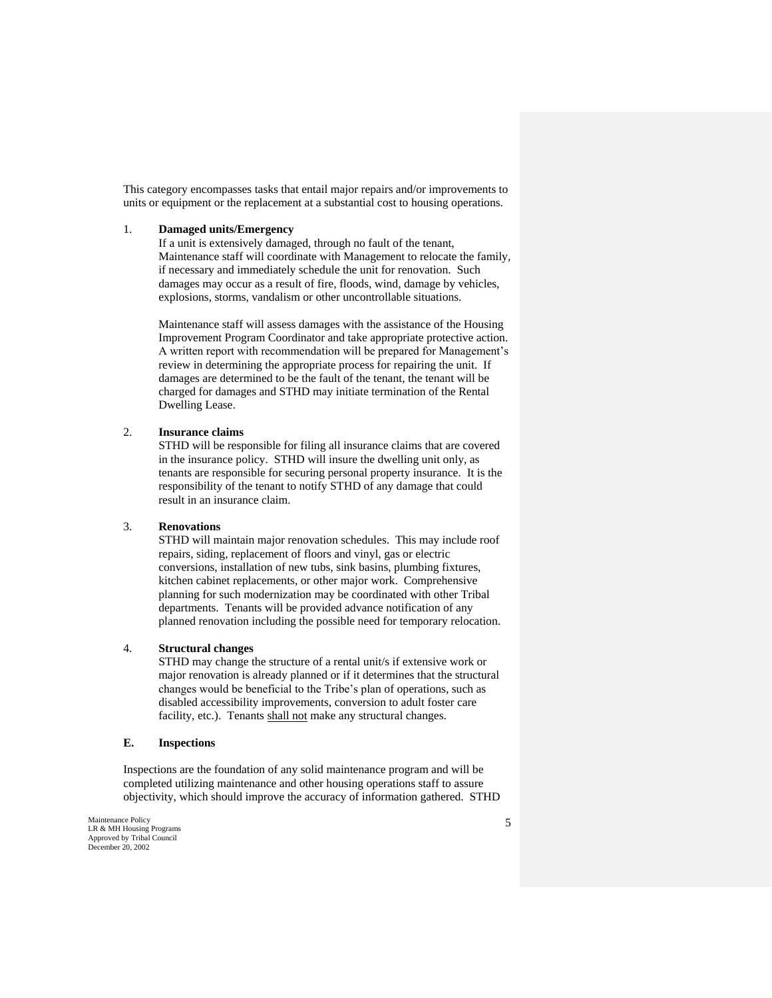This category encompasses tasks that entail major repairs and/or improvements to units or equipment or the replacement at a substantial cost to housing operations.

#### 1. **Damaged units/Emergency**

If a unit is extensively damaged, through no fault of the tenant, Maintenance staff will coordinate with Management to relocate the family, if necessary and immediately schedule the unit for renovation. Such damages may occur as a result of fire, floods, wind, damage by vehicles, explosions, storms, vandalism or other uncontrollable situations.

Maintenance staff will assess damages with the assistance of the Housing Improvement Program Coordinator and take appropriate protective action. A written report with recommendation will be prepared for Management's review in determining the appropriate process for repairing the unit. If damages are determined to be the fault of the tenant, the tenant will be charged for damages and STHD may initiate termination of the Rental Dwelling Lease.

### 2. **Insurance claims**

STHD will be responsible for filing all insurance claims that are covered in the insurance policy. STHD will insure the dwelling unit only, as tenants are responsible for securing personal property insurance. It is the responsibility of the tenant to notify STHD of any damage that could result in an insurance claim.

### 3. **Renovations**

STHD will maintain major renovation schedules. This may include roof repairs, siding, replacement of floors and vinyl, gas or electric conversions, installation of new tubs, sink basins, plumbing fixtures, kitchen cabinet replacements, or other major work. Comprehensive planning for such modernization may be coordinated with other Tribal departments. Tenants will be provided advance notification of any planned renovation including the possible need for temporary relocation.

#### 4. **Structural changes**

STHD may change the structure of a rental unit/s if extensive work or major renovation is already planned or if it determines that the structural changes would be beneficial to the Tribe's plan of operations, such as disabled accessibility improvements, conversion to adult foster care facility, etc.). Tenants shall not make any structural changes.

### **E. Inspections**

Inspections are the foundation of any solid maintenance program and will be completed utilizing maintenance and other housing operations staff to assure objectivity, which should improve the accuracy of information gathered. STHD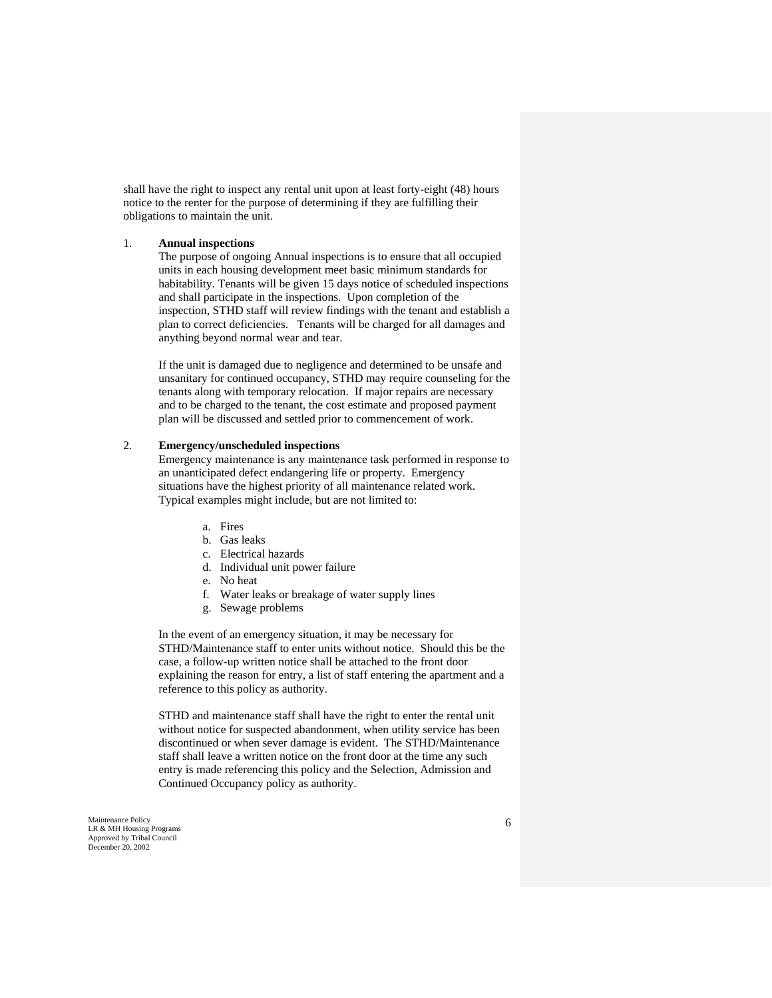shall have the right to inspect any rental unit upon at least forty-eight (48) hours notice to the renter for the purpose of determining if they are fulfilling their obligations to maintain the unit.

### 1. **Annual inspections**

The purpose of ongoing Annual inspections is to ensure that all occupied units in each housing development meet basic minimum standards for habitability. Tenants will be given 15 days notice of scheduled inspections and shall participate in the inspections. Upon completion of the inspection, STHD staff will review findings with the tenant and establish a plan to correct deficiencies. Tenants will be charged for all damages and anything beyond normal wear and tear.

If the unit is damaged due to negligence and determined to be unsafe and unsanitary for continued occupancy, STHD may require counseling for the tenants along with temporary relocation. If major repairs are necessary and to be charged to the tenant, the cost estimate and proposed payment plan will be discussed and settled prior to commencement of work.

### 2. **Emergency/unscheduled inspections**

Emergency maintenance is any maintenance task performed in response to an unanticipated defect endangering life or property. Emergency situations have the highest priority of all maintenance related work. Typical examples might include, but are not limited to:

- a. Fires
- b. Gas leaks
- c. Electrical hazards
- d. Individual unit power failure
- e. No heat
- f. Water leaks or breakage of water supply lines
- g. Sewage problems

In the event of an emergency situation, it may be necessary for STHD/Maintenance staff to enter units without notice. Should this be the case, a follow-up written notice shall be attached to the front door explaining the reason for entry, a list of staff entering the apartment and a reference to this policy as authority.

STHD and maintenance staff shall have the right to enter the rental unit without notice for suspected abandonment, when utility service has been discontinued or when sever damage is evident. The STHD/Maintenance staff shall leave a written notice on the front door at the time any such entry is made referencing this policy and the Selection, Admission and Continued Occupancy policy as authority.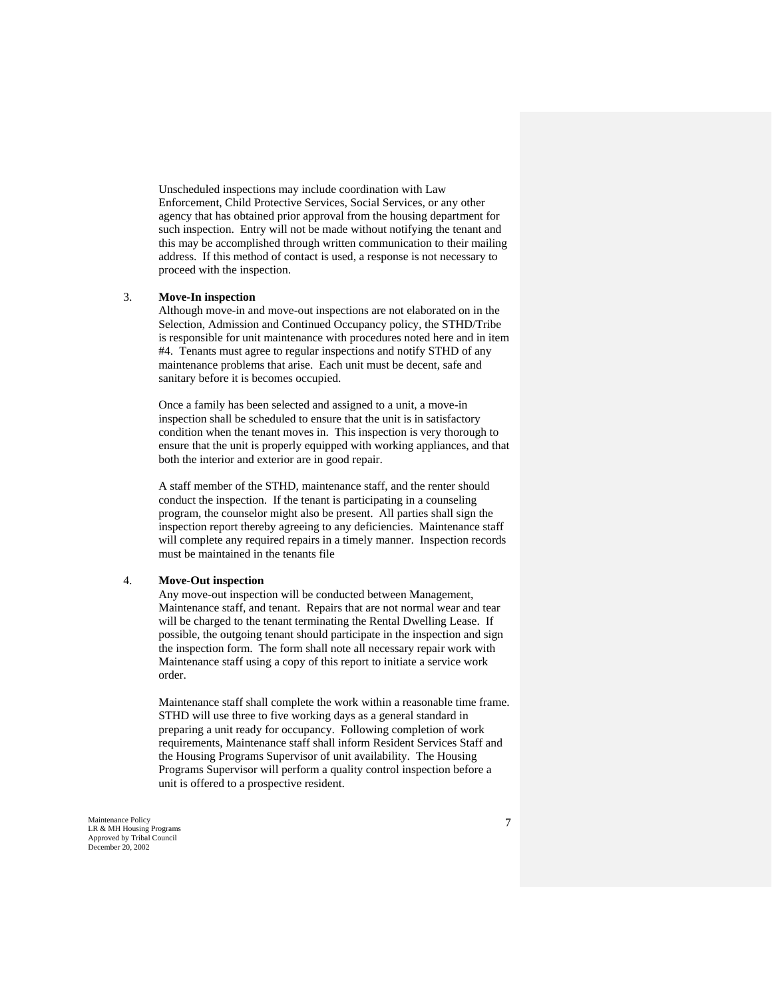Unscheduled inspections may include coordination with Law Enforcement, Child Protective Services, Social Services, or any other agency that has obtained prior approval from the housing department for such inspection. Entry will not be made without notifying the tenant and this may be accomplished through written communication to their mailing address. If this method of contact is used, a response is not necessary to proceed with the inspection.

### 3. **Move-In inspection**

Although move-in and move-out inspections are not elaborated on in the Selection, Admission and Continued Occupancy policy, the STHD/Tribe is responsible for unit maintenance with procedures noted here and in item #4. Tenants must agree to regular inspections and notify STHD of any maintenance problems that arise. Each unit must be decent, safe and sanitary before it is becomes occupied.

Once a family has been selected and assigned to a unit, a move-in inspection shall be scheduled to ensure that the unit is in satisfactory condition when the tenant moves in. This inspection is very thorough to ensure that the unit is properly equipped with working appliances, and that both the interior and exterior are in good repair.

A staff member of the STHD, maintenance staff, and the renter should conduct the inspection. If the tenant is participating in a counseling program, the counselor might also be present. All parties shall sign the inspection report thereby agreeing to any deficiencies. Maintenance staff will complete any required repairs in a timely manner. Inspection records must be maintained in the tenants file

#### 4. **Move-Out inspection**

Any move-out inspection will be conducted between Management, Maintenance staff, and tenant. Repairs that are not normal wear and tear will be charged to the tenant terminating the Rental Dwelling Lease. If possible, the outgoing tenant should participate in the inspection and sign the inspection form. The form shall note all necessary repair work with Maintenance staff using a copy of this report to initiate a service work order.

Maintenance staff shall complete the work within a reasonable time frame. STHD will use three to five working days as a general standard in preparing a unit ready for occupancy. Following completion of work requirements, Maintenance staff shall inform Resident Services Staff and the Housing Programs Supervisor of unit availability. The Housing Programs Supervisor will perform a quality control inspection before a unit is offered to a prospective resident.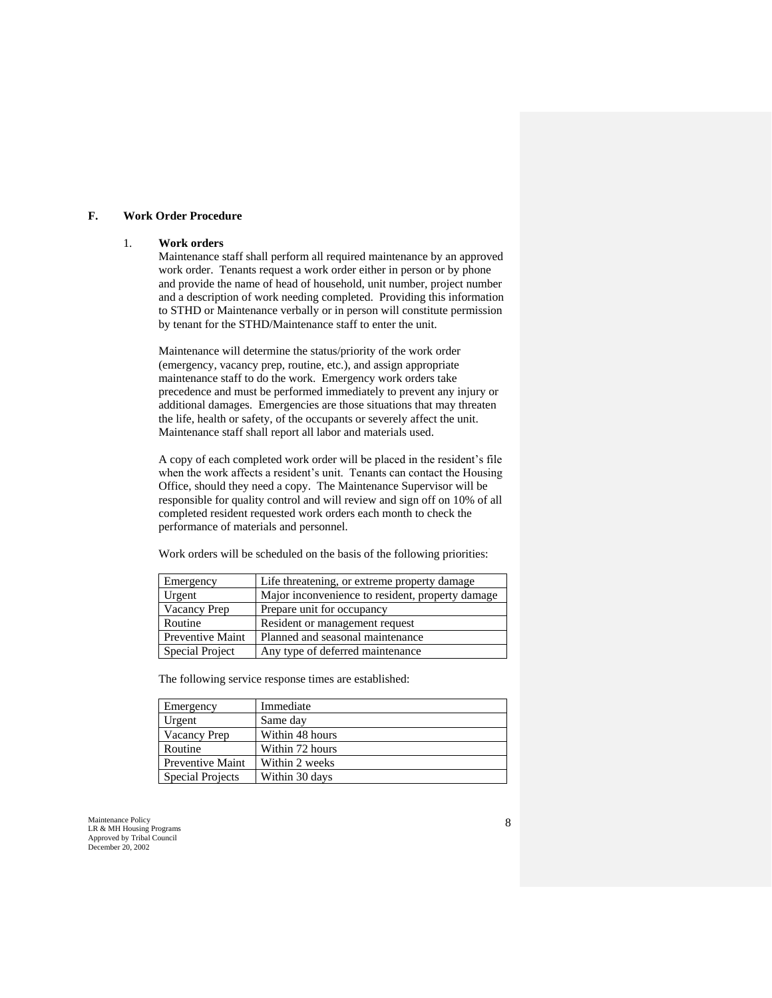#### **F. Work Order Procedure**

#### 1. **Work orders**

Maintenance staff shall perform all required maintenance by an approved work order. Tenants request a work order either in person or by phone and provide the name of head of household, unit number, project number and a description of work needing completed. Providing this information to STHD or Maintenance verbally or in person will constitute permission by tenant for the STHD/Maintenance staff to enter the unit.

Maintenance will determine the status/priority of the work order (emergency, vacancy prep, routine, etc.), and assign appropriate maintenance staff to do the work. Emergency work orders take precedence and must be performed immediately to prevent any injury or additional damages. Emergencies are those situations that may threaten the life, health or safety, of the occupants or severely affect the unit. Maintenance staff shall report all labor and materials used.

A copy of each completed work order will be placed in the resident's file when the work affects a resident's unit. Tenants can contact the Housing Office, should they need a copy. The Maintenance Supervisor will be responsible for quality control and will review and sign off on 10% of all completed resident requested work orders each month to check the performance of materials and personnel.

Work orders will be scheduled on the basis of the following priorities:

| Emergency           | Life threatening, or extreme property damage     |
|---------------------|--------------------------------------------------|
| Urgent              | Major inconvenience to resident, property damage |
| <b>Vacancy Prep</b> | Prepare unit for occupancy                       |
| Routine             | Resident or management request                   |
| Preventive Maint    | Planned and seasonal maintenance                 |
| Special Project     | Any type of deferred maintenance                 |

The following service response times are established:

| Emergency               | Immediate       |
|-------------------------|-----------------|
| Urgent                  | Same day        |
| <b>Vacancy Prep</b>     | Within 48 hours |
| Routine                 | Within 72 hours |
| Preventive Maint        | Within 2 weeks  |
| <b>Special Projects</b> | Within 30 days  |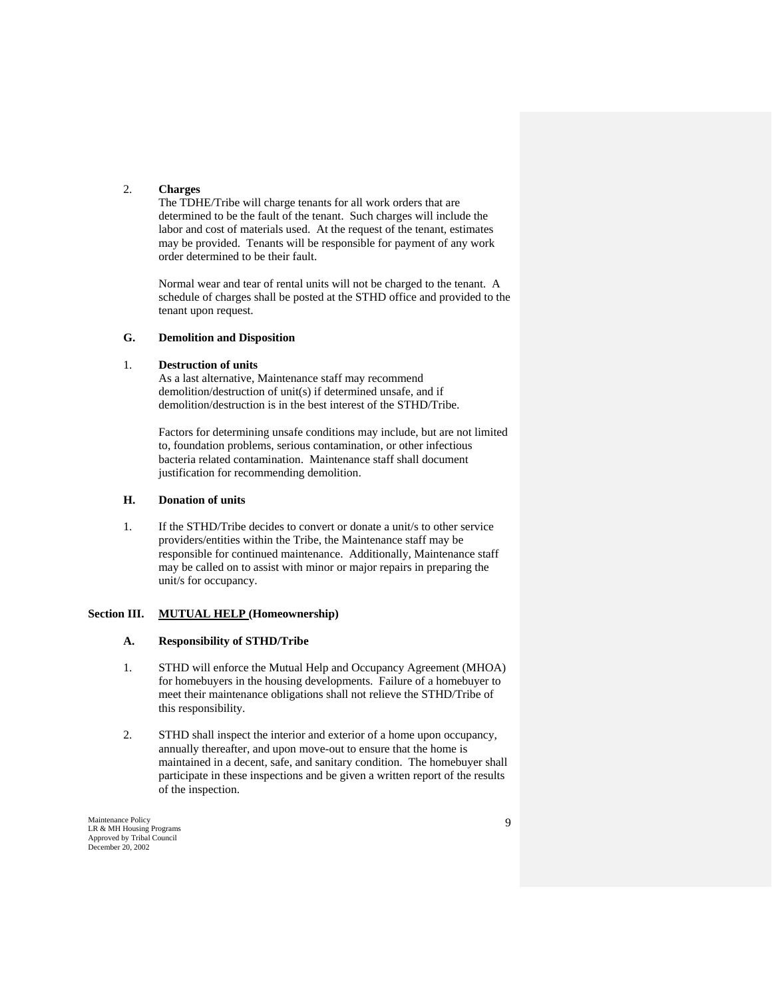# 2. **Charges**

The TDHE/Tribe will charge tenants for all work orders that are determined to be the fault of the tenant. Such charges will include the labor and cost of materials used. At the request of the tenant, estimates may be provided. Tenants will be responsible for payment of any work order determined to be their fault.

Normal wear and tear of rental units will not be charged to the tenant. A schedule of charges shall be posted at the STHD office and provided to the tenant upon request.

# **G. Demolition and Disposition**

### 1. **Destruction of units**

As a last alternative, Maintenance staff may recommend demolition/destruction of unit(s) if determined unsafe, and if demolition/destruction is in the best interest of the STHD/Tribe.

Factors for determining unsafe conditions may include, but are not limited to, foundation problems, serious contamination, or other infectious bacteria related contamination. Maintenance staff shall document justification for recommending demolition.

# **H. Donation of units**

1. If the STHD/Tribe decides to convert or donate a unit/s to other service providers/entities within the Tribe, the Maintenance staff may be responsible for continued maintenance. Additionally, Maintenance staff may be called on to assist with minor or major repairs in preparing the unit/s for occupancy.

# **Section III. MUTUAL HELP (Homeownership)**

# **A. Responsibility of STHD/Tribe**

- 1. STHD will enforce the Mutual Help and Occupancy Agreement (MHOA) for homebuyers in the housing developments. Failure of a homebuyer to meet their maintenance obligations shall not relieve the STHD/Tribe of this responsibility.
- 2. STHD shall inspect the interior and exterior of a home upon occupancy, annually thereafter, and upon move-out to ensure that the home is maintained in a decent, safe, and sanitary condition. The homebuyer shall participate in these inspections and be given a written report of the results of the inspection.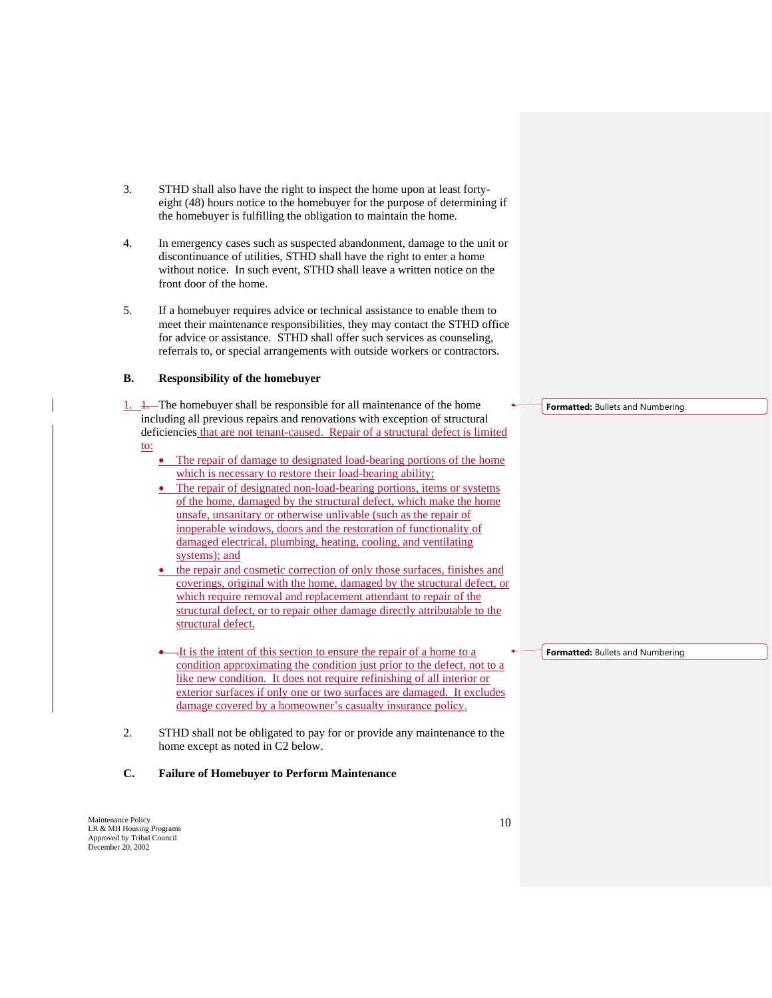- 3. STHD shall also have the right to inspect the home upon at least fortyeight (48) hours notice to the homebuyer for the purpose of determining if the homebuyer is fulfilling the obligation to maintain the home.
- 4. In emergency cases such as suspected abandonment, damage to the unit or discontinuance of utilities, STHD shall have the right to enter a home without notice. In such event, STHD shall leave a written notice on the front door of the home.
- 5. If a homebuyer requires advice or technical assistance to enable them to meet their maintenance responsibilities, they may contact the STHD office for advice or assistance. STHD shall offer such services as counseling, referrals to, or special arrangements with outside workers or contractors.

#### **B. Responsibility of the homebuyer**

- 1.  $\frac{1}{1}$ . The homebuyer shall be responsible for all maintenance of the home including all previous repairs and renovations with exception of structural deficiencies that are not tenant-caused. Repair of a structural defect is limited to:
	- The repair of damage to designated load-bearing portions of the home which is necessary to restore their load-bearing ability;
	- The repair of designated non-load-bearing portions, items or systems of the home, damaged by the structural defect, which make the home unsafe, unsanitary or otherwise unlivable (such as the repair of inoperable windows, doors and the restoration of functionality of damaged electrical, plumbing, heating, cooling, and ventilating systems); and
	- the repair and cosmetic correction of only those surfaces, finishes and coverings, original with the home, damaged by the structural defect, or which require removal and replacement attendant to repair of the structural defect, or to repair other damage directly attributable to the structural defect.
	- .It is the intent of this section to ensure the repair of a home to a condition approximating the condition just prior to the defect, not to a like new condition. It does not require refinishing of all interior or exterior surfaces if only one or two surfaces are damaged. It excludes damage covered by a homeowner's casualty insurance policy.
- 2. STHD shall not be obligated to pay for or provide any maintenance to the home except as noted in C2 below.

# **C. Failure of Homebuyer to Perform Maintenance**

Maintenance Policy LR & MH Housing Programs Approved by Tribal Council December 20, 2002

**Formatted:** Bullets and Numbering

**Formatted:** Bullets and Numbering